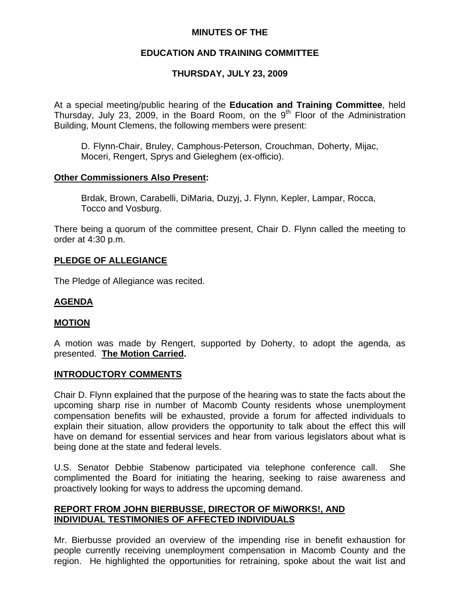## **MINUTES OF THE**

# **EDUCATION AND TRAINING COMMITTEE**

# **THURSDAY, JULY 23, 2009**

At a special meeting/public hearing of the **Education and Training Committee**, held Thursday, July 23, 2009, in the Board Room, on the  $9<sup>th</sup>$  Floor of the Administration Building, Mount Clemens, the following members were present:

D. Flynn-Chair, Bruley, Camphous-Peterson, Crouchman, Doherty, Mijac, Moceri, Rengert, Sprys and Gieleghem (ex-officio).

### **Other Commissioners Also Present:**

 Brdak, Brown, Carabelli, DiMaria, Duzyj, J. Flynn, Kepler, Lampar, Rocca, Tocco and Vosburg.

There being a quorum of the committee present, Chair D. Flynn called the meeting to order at 4:30 p.m.

### **PLEDGE OF ALLEGIANCE**

The Pledge of Allegiance was recited.

### **AGENDA**

#### **MOTION**

A motion was made by Rengert, supported by Doherty, to adopt the agenda, as presented. **The Motion Carried.** 

#### **INTRODUCTORY COMMENTS**

Chair D. Flynn explained that the purpose of the hearing was to state the facts about the upcoming sharp rise in number of Macomb County residents whose unemployment compensation benefits will be exhausted, provide a forum for affected individuals to explain their situation, allow providers the opportunity to talk about the effect this will have on demand for essential services and hear from various legislators about what is being done at the state and federal levels.

U.S. Senator Debbie Stabenow participated via telephone conference call. She complimented the Board for initiating the hearing, seeking to raise awareness and proactively looking for ways to address the upcoming demand.

## **REPORT FROM JOHN BIERBUSSE, DIRECTOR OF MiWORKS!, AND INDIVIDUAL TESTIMONIES OF AFFECTED INDIVIDUALS**

Mr. Bierbusse provided an overview of the impending rise in benefit exhaustion for people currently receiving unemployment compensation in Macomb County and the region. He highlighted the opportunities for retraining, spoke about the wait list and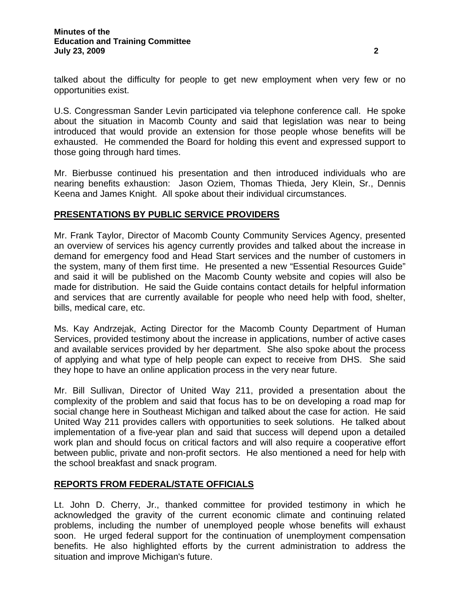U.S. Congressman Sander Levin participated via telephone conference call. He spoke about the situation in Macomb County and said that legislation was near to being introduced that would provide an extension for those people whose benefits will be exhausted. He commended the Board for holding this event and expressed support to those going through hard times.

Mr. Bierbusse continued his presentation and then introduced individuals who are nearing benefits exhaustion: Jason Oziem, Thomas Thieda, Jery Klein, Sr., Dennis Keena and James Knight. All spoke about their individual circumstances.

# **PRESENTATIONS BY PUBLIC SERVICE PROVIDERS**

Mr. Frank Taylor, Director of Macomb County Community Services Agency, presented an overview of services his agency currently provides and talked about the increase in demand for emergency food and Head Start services and the number of customers in the system, many of them first time. He presented a new "Essential Resources Guide" and said it will be published on the Macomb County website and copies will also be made for distribution. He said the Guide contains contact details for helpful information and services that are currently available for people who need help with food, shelter, bills, medical care, etc.

Ms. Kay Andrzejak, Acting Director for the Macomb County Department of Human Services, provided testimony about the increase in applications, number of active cases and available services provided by her department. She also spoke about the process of applying and what type of help people can expect to receive from DHS. She said they hope to have an online application process in the very near future.

Mr. Bill Sullivan, Director of United Way 211, provided a presentation about the complexity of the problem and said that focus has to be on developing a road map for social change here in Southeast Michigan and talked about the case for action. He said United Way 211 provides callers with opportunities to seek solutions. He talked about implementation of a five-year plan and said that success will depend upon a detailed work plan and should focus on critical factors and will also require a cooperative effort between public, private and non-profit sectors. He also mentioned a need for help with the school breakfast and snack program.

## **REPORTS FROM FEDERAL/STATE OFFICIALS**

Lt. John D. Cherry, Jr., thanked committee for provided testimony in which he acknowledged the gravity of the current economic climate and continuing related problems, including the number of unemployed people whose benefits will exhaust soon. He urged federal support for the continuation of unemployment compensation benefits. He also highlighted efforts by the current administration to address the situation and improve Michigan's future.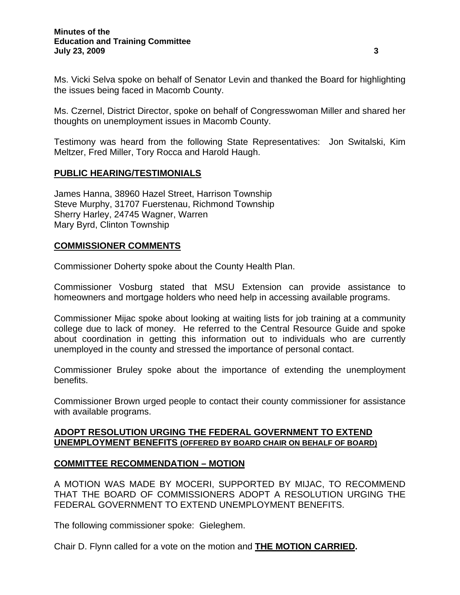Ms. Vicki Selva spoke on behalf of Senator Levin and thanked the Board for highlighting the issues being faced in Macomb County.

Ms. Czernel, District Director, spoke on behalf of Congresswoman Miller and shared her thoughts on unemployment issues in Macomb County.

Testimony was heard from the following State Representatives: Jon Switalski, Kim Meltzer, Fred Miller, Tory Rocca and Harold Haugh.

## **PUBLIC HEARING/TESTIMONIALS**

James Hanna, 38960 Hazel Street, Harrison Township Steve Murphy, 31707 Fuerstenau, Richmond Township Sherry Harley, 24745 Wagner, Warren Mary Byrd, Clinton Township

#### **COMMISSIONER COMMENTS**

Commissioner Doherty spoke about the County Health Plan.

Commissioner Vosburg stated that MSU Extension can provide assistance to homeowners and mortgage holders who need help in accessing available programs.

Commissioner Mijac spoke about looking at waiting lists for job training at a community college due to lack of money. He referred to the Central Resource Guide and spoke about coordination in getting this information out to individuals who are currently unemployed in the county and stressed the importance of personal contact.

Commissioner Bruley spoke about the importance of extending the unemployment benefits.

Commissioner Brown urged people to contact their county commissioner for assistance with available programs.

### **ADOPT RESOLUTION URGING THE FEDERAL GOVERNMENT TO EXTEND UNEMPLOYMENT BENEFITS (OFFERED BY BOARD CHAIR ON BEHALF OF BOARD)**

#### **COMMITTEE RECOMMENDATION – MOTION**

A MOTION WAS MADE BY MOCERI, SUPPORTED BY MIJAC, TO RECOMMEND THAT THE BOARD OF COMMISSIONERS ADOPT A RESOLUTION URGING THE FEDERAL GOVERNMENT TO EXTEND UNEMPLOYMENT BENEFITS.

The following commissioner spoke: Gieleghem.

Chair D. Flynn called for a vote on the motion and **THE MOTION CARRIED.**